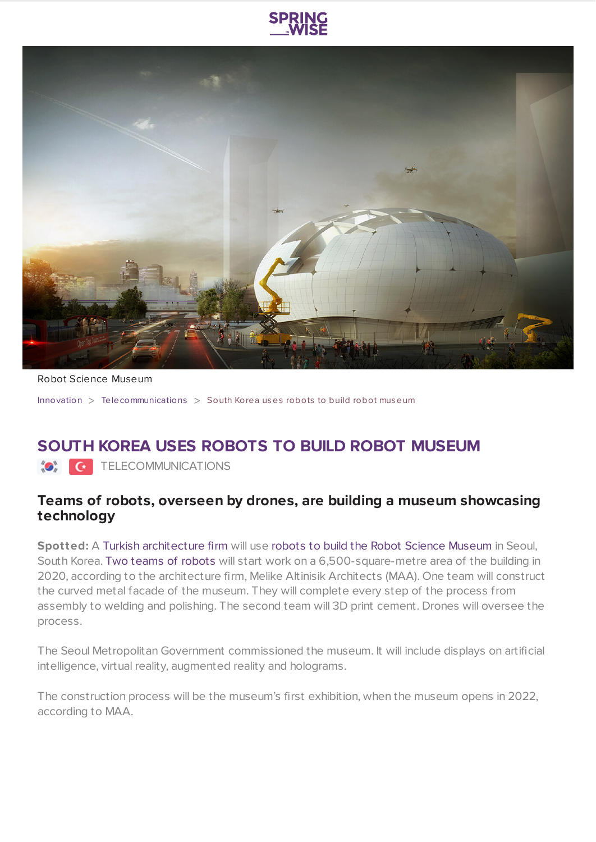



Robot Science Museum

[Innovation](https://www.springwise.com/search?type=innovation) > [Telecommunications](https://www.springwise.com/search?type=innovation§or=telecoms-tech) > South Korea uses robots to build robot museum

## **SOUTH KOREA USES ROBOTS TO BUILD ROBOT MUSEUM**

**O** TELECOMMUNICATIONS

## **Teams of robots, overseen by drones, are building a museum showcasing technology**

**Spotted:** A Turkish [architecture](https://www.melikealtinisik.com/) firm will use robots to build the Robot Science [Museum](https://www.youtube.com/watch?v=HvbDaPkH51Y) in Seoul, South Korea. Two teams of [robots](https://www.melikealtinisik.com/single-post/2019/02/13/MAA-WINS-COMPETITION-FOR-ROBOT-MUSEUM-IN-SEOUL) will start work on a 6,500-square-metre area of the building in 2020, according to the architecture firm, Melike Altinisik Architects (MAA). One team will construct the curved metal facade of the museum. They will complete every step of the process from assembly to welding and polishing. The second team will 3D print cement. Drones will oversee the process.

The Seoul Metropolitan Government commissioned the museum. It will include displays on artificial intelligence, virtual reality, augmented reality and holograms.

The construction process will be the museum's first exhibition, when the museum opens in 2022, according to MAA.